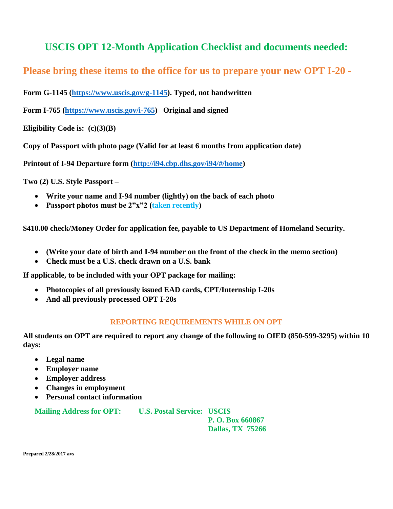## **USCIS OPT 12-Month Application Checklist and documents needed:**

**Please bring these items to the office for us to prepare your new OPT I-20 -**

**Form G-1145 [\(https://www.uscis.gov/g-1145\)](https://www.uscis.gov/g-1145). Typed, not handwritten**

**Form I-765 [\(https://www.uscis.gov/i-765\)](https://www.uscis.gov/i-765) Original and signed**

**Eligibility Code is: (c)(3)(B)**

**Copy of Passport with photo page (Valid for at least 6 months from application date)**

**Printout of I-94 Departure form [\(http://i94.cbp.dhs.gov/i94/#/home\)](http://i94.cbp.dhs.gov/i94/#/home)**

**Two (2) U.S. Style Passport –**

- **Write your name and I-94 number (lightly) on the back of each photo**
- **Passport photos must be 2"x"2 (taken recently)**

**\$410.00 check/Money Order for application fee, payable to US Department of Homeland Security.**

- **(Write your date of birth and I-94 number on the front of the check in the memo section)**
- **Check must be a U.S. check drawn on a U.S. bank**

**If applicable, to be included with your OPT package for mailing:**

- **Photocopies of all previously issued EAD cards, CPT/Internship I-20s**
- **And all previously processed OPT I-20s**

## **REPORTING REQUIREMENTS WHILE ON OPT**

**All students on OPT are required to report any change of the following to OIED (850-599-3295) within 10 days:**

- **Legal name**
- **Employer name**
- **Employer address**
- **Changes in employment**
- **Personal contact information**

**Mailing Address for OPT: U.S. Postal Service: USCIS**

**P. O. Box 660867 Dallas, TX 75266**

**Prepared 2/28/2017 avs**